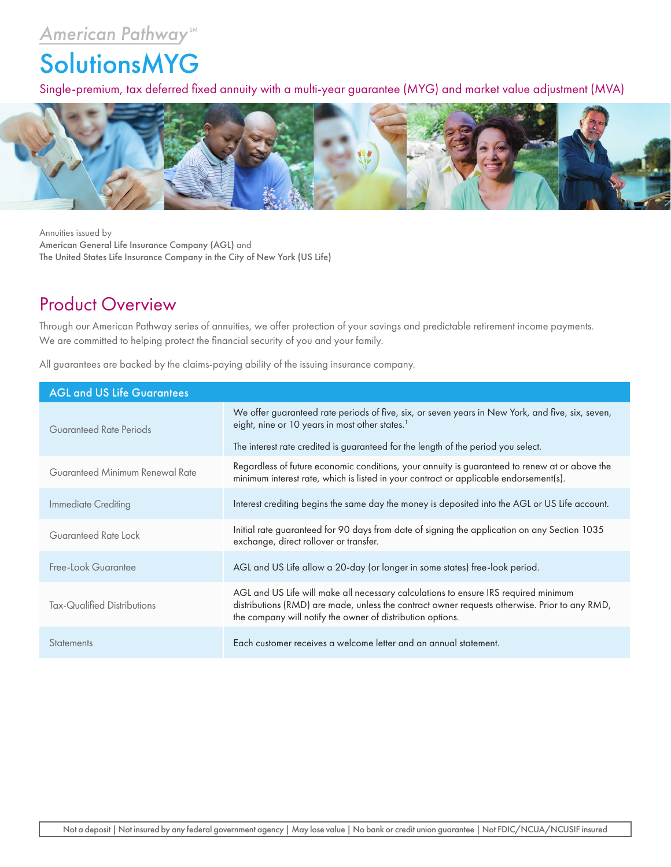## **American Pathway** SM

## **SolutionsMYG**

Single-premium, tax deferred fixed annuity with a multi-year guarantee (MYG) and market value adjustment (MVA)



Annuities issued by American General Life Insurance Company (AGL) and The United States Life Insurance Company in the City of New York (US Life)

## Product Overview

Through our American Pathway series of annuities, we offer protection of your savings and predictable retirement income payments. We are committed to helping protect the financial security of you and your family.

All guarantees are backed by the claims-paying ability of the issuing insurance company.

| <b>AGL and US Life Guarantees</b> |                                                                                                                                                                                                                                                    |  |  |  |  |
|-----------------------------------|----------------------------------------------------------------------------------------------------------------------------------------------------------------------------------------------------------------------------------------------------|--|--|--|--|
| Guaranteed Rate Periods           | We offer guaranteed rate periods of five, six, or seven years in New York, and five, six, seven,<br>eight, nine or 10 years in most other states. <sup>1</sup>                                                                                     |  |  |  |  |
|                                   | The interest rate credited is guaranteed for the length of the period you select.                                                                                                                                                                  |  |  |  |  |
| Guaranteed Minimum Renewal Rate   | Regardless of future economic conditions, your annuity is guaranteed to renew at or above the<br>minimum interest rate, which is listed in your contract or applicable endorsement(s).                                                             |  |  |  |  |
| Immediate Crediting               | Interest crediting begins the same day the money is deposited into the AGL or US Life account.                                                                                                                                                     |  |  |  |  |
| Guaranteed Rate Lock              | Initial rate guaranteed for 90 days from date of signing the application on any Section 1035<br>exchange, direct rollover or transfer.                                                                                                             |  |  |  |  |
| Free-Look Guarantee               | AGL and US Life allow a 20-day (or longer in some states) free-look period.                                                                                                                                                                        |  |  |  |  |
| Tax-Qualified Distributions       | AGL and US Life will make all necessary calculations to ensure IRS required minimum<br>distributions (RMD) are made, unless the contract owner requests otherwise. Prior to any RMD,<br>the company will notify the owner of distribution options. |  |  |  |  |
| <b>Statements</b>                 | Each customer receives a welcome letter and an annual statement.                                                                                                                                                                                   |  |  |  |  |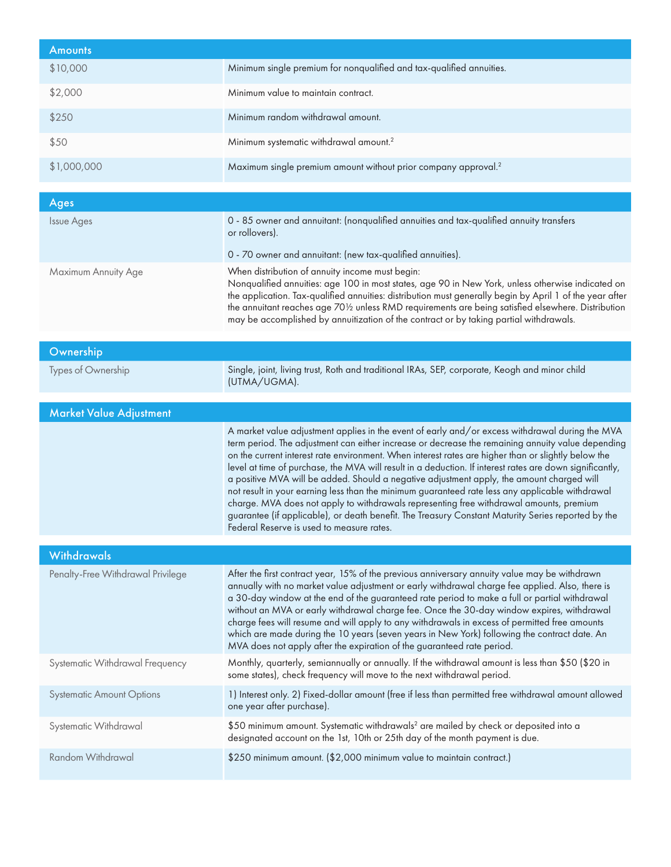| <b>Amounts</b>                    |                                                                                                                                                                                                                                                                                                                                                                                                                                                                                                                                                                                                                                                                                                                                                                                                                                                                       |
|-----------------------------------|-----------------------------------------------------------------------------------------------------------------------------------------------------------------------------------------------------------------------------------------------------------------------------------------------------------------------------------------------------------------------------------------------------------------------------------------------------------------------------------------------------------------------------------------------------------------------------------------------------------------------------------------------------------------------------------------------------------------------------------------------------------------------------------------------------------------------------------------------------------------------|
| \$10,000                          | Minimum single premium for nonqualified and tax-qualified annuities.                                                                                                                                                                                                                                                                                                                                                                                                                                                                                                                                                                                                                                                                                                                                                                                                  |
| \$2,000                           | Minimum value to maintain contract.                                                                                                                                                                                                                                                                                                                                                                                                                                                                                                                                                                                                                                                                                                                                                                                                                                   |
| \$250                             | Minimum random withdrawal amount.                                                                                                                                                                                                                                                                                                                                                                                                                                                                                                                                                                                                                                                                                                                                                                                                                                     |
| \$50                              | Minimum systematic withdrawal amount. <sup>2</sup>                                                                                                                                                                                                                                                                                                                                                                                                                                                                                                                                                                                                                                                                                                                                                                                                                    |
| \$1,000,000                       | Maximum single premium amount without prior company approval. <sup>2</sup>                                                                                                                                                                                                                                                                                                                                                                                                                                                                                                                                                                                                                                                                                                                                                                                            |
| <b>Ages</b>                       |                                                                                                                                                                                                                                                                                                                                                                                                                                                                                                                                                                                                                                                                                                                                                                                                                                                                       |
| <b>Issue Ages</b>                 | 0 - 85 owner and annuitant: (nonqualified annuities and tax-qualified annuity transfers<br>or rollovers).                                                                                                                                                                                                                                                                                                                                                                                                                                                                                                                                                                                                                                                                                                                                                             |
|                                   | 0 - 70 owner and annuitant: (new tax-qualified annuities).                                                                                                                                                                                                                                                                                                                                                                                                                                                                                                                                                                                                                                                                                                                                                                                                            |
| Maximum Annuity Age               | When distribution of annuity income must begin:<br>Nonqualified annuities: age 100 in most states, age 90 in New York, unless otherwise indicated on<br>the application. Tax-qualified annuities: distribution must generally begin by April 1 of the year after<br>the annuitant reaches age 701/2 unless RMD requirements are being satisfied elsewhere. Distribution<br>may be accomplished by annuitization of the contract or by taking partial withdrawals.                                                                                                                                                                                                                                                                                                                                                                                                     |
| Ownership                         |                                                                                                                                                                                                                                                                                                                                                                                                                                                                                                                                                                                                                                                                                                                                                                                                                                                                       |
| Types of Ownership                | Single, joint, living trust, Roth and traditional IRAs, SEP, corporate, Keogh and minor child<br>(UTMA/UGMA).                                                                                                                                                                                                                                                                                                                                                                                                                                                                                                                                                                                                                                                                                                                                                         |
|                                   |                                                                                                                                                                                                                                                                                                                                                                                                                                                                                                                                                                                                                                                                                                                                                                                                                                                                       |
|                                   |                                                                                                                                                                                                                                                                                                                                                                                                                                                                                                                                                                                                                                                                                                                                                                                                                                                                       |
| <b>Market Value Adjustment</b>    | A market value adjustment applies in the event of early and/or excess withdrawal during the MVA<br>term period. The adjustment can either increase or decrease the remaining annuity value depending<br>on the current interest rate environment. When interest rates are higher than or slightly below the<br>level at time of purchase, the MVA will result in a deduction. If interest rates are down significantly,<br>a positive MVA will be added. Should a negative adjustment apply, the amount charged will<br>not result in your earning less than the minimum guaranteed rate less any applicable withdrawal<br>charge. MVA does not apply to withdrawals representing free withdrawal amounts, premium<br>guarantee (if applicable), or death benefit. The Treasury Constant Maturity Series reported by the<br>Federal Reserve is used to measure rates. |
| <b>Withdrawals</b>                |                                                                                                                                                                                                                                                                                                                                                                                                                                                                                                                                                                                                                                                                                                                                                                                                                                                                       |
| Penalty-Free Withdrawal Privilege | After the first contract year, 15% of the previous anniversary annuity value may be withdrawn<br>annually with no market value adjustment or early withdrawal charge fee applied. Also, there is<br>a 30-day window at the end of the guaranteed rate period to make a full or partial withdrawal<br>without an MVA or early withdrawal charge fee. Once the 30-day window expires, withdrawal<br>charge fees will resume and will apply to any withdrawals in excess of permitted free amounts<br>which are made during the 10 years (seven years in New York) following the contract date. An<br>MVA does not apply after the expiration of the guaranteed rate period.                                                                                                                                                                                             |
| Systematic Withdrawal Frequency   | Monthly, quarterly, semiannually or annually. If the withdrawal amount is less than \$50 (\$20 in<br>some states), check frequency will move to the next withdrawal period.                                                                                                                                                                                                                                                                                                                                                                                                                                                                                                                                                                                                                                                                                           |
| <b>Systematic Amount Options</b>  | 1) Interest only. 2) Fixed-dollar amount (free if less than permitted free withdrawal amount allowed<br>one year after purchase).                                                                                                                                                                                                                                                                                                                                                                                                                                                                                                                                                                                                                                                                                                                                     |
| Systematic Withdrawal             | \$50 minimum amount. Systematic withdrawals <sup>2</sup> are mailed by check or deposited into a<br>designated account on the 1st, 10th or 25th day of the month payment is due.                                                                                                                                                                                                                                                                                                                                                                                                                                                                                                                                                                                                                                                                                      |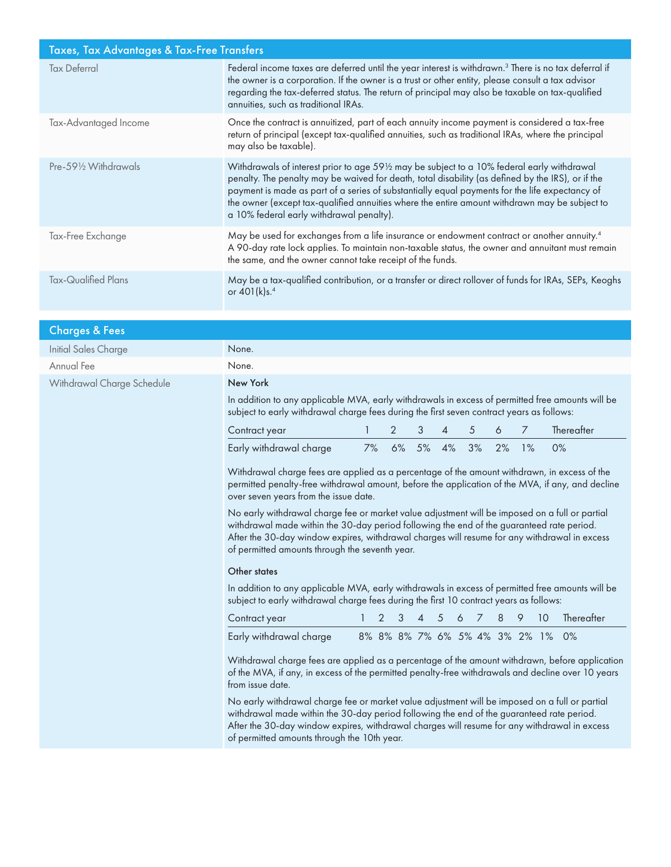| Taxes, Tax Advantages & Tax-Free Transfers |                                                                                                                                                                                                                                                                                                                                                                                                                                               |  |  |  |  |
|--------------------------------------------|-----------------------------------------------------------------------------------------------------------------------------------------------------------------------------------------------------------------------------------------------------------------------------------------------------------------------------------------------------------------------------------------------------------------------------------------------|--|--|--|--|
| <b>Tax Deferral</b>                        | Federal income taxes are deferred until the year interest is withdrawn. <sup>3</sup> There is no tax deferral if<br>the owner is a corporation. If the owner is a trust or other entity, please consult a tax advisor<br>regarding the tax-deferred status. The return of principal may also be taxable on tax-qualified<br>annuities, such as traditional IRAs.                                                                              |  |  |  |  |
| Tax-Advantaged Income                      | Once the contract is annuitized, part of each annuity income payment is considered a tax-free<br>return of principal (except tax-qualified annuities, such as traditional IRAs, where the principal<br>may also be taxable).                                                                                                                                                                                                                  |  |  |  |  |
| Pre-591/2 Withdrawals                      | Withdrawals of interest prior to age 59½ may be subject to a 10% federal early withdrawal<br>penalty. The penalty may be waived for death, total disability (as defined by the IRS), or if the<br>payment is made as part of a series of substantially equal payments for the life expectancy of<br>the owner (except tax-qualified annuities where the entire amount withdrawn may be subject to<br>a 10% federal early withdrawal penalty). |  |  |  |  |
| Tax-Free Exchange                          | May be used for exchanges from a life insurance or endowment contract or another annuity. <sup>4</sup><br>A 90-day rate lock applies. To maintain non-taxable status, the owner and annuitant must remain<br>the same, and the owner cannot take receipt of the funds.                                                                                                                                                                        |  |  |  |  |
| Tax-Qualified Plans                        | May be a tax-qualified contribution, or a transfer or direct rollover of funds for IRAs, SEPs, Keoghs<br>or 401(k)s. <sup>4</sup>                                                                                                                                                                                                                                                                                                             |  |  |  |  |

| <b>Charges &amp; Fees</b>   |                                                                                                                                                                                                                                                                                                                                                                                                                                                                                                                                                                                                                                                                                                                                                                                                          |    |               |    |    |                |   |    |                               |                |    |            |
|-----------------------------|----------------------------------------------------------------------------------------------------------------------------------------------------------------------------------------------------------------------------------------------------------------------------------------------------------------------------------------------------------------------------------------------------------------------------------------------------------------------------------------------------------------------------------------------------------------------------------------------------------------------------------------------------------------------------------------------------------------------------------------------------------------------------------------------------------|----|---------------|----|----|----------------|---|----|-------------------------------|----------------|----|------------|
| <b>Initial Sales Charge</b> | None.                                                                                                                                                                                                                                                                                                                                                                                                                                                                                                                                                                                                                                                                                                                                                                                                    |    |               |    |    |                |   |    |                               |                |    |            |
| Annual Fee                  | None.                                                                                                                                                                                                                                                                                                                                                                                                                                                                                                                                                                                                                                                                                                                                                                                                    |    |               |    |    |                |   |    |                               |                |    |            |
| Withdrawal Charge Schedule  | New York                                                                                                                                                                                                                                                                                                                                                                                                                                                                                                                                                                                                                                                                                                                                                                                                 |    |               |    |    |                |   |    |                               |                |    |            |
|                             | In addition to any applicable MVA, early withdrawals in excess of permitted free amounts will be<br>subject to early withdrawal charge fees during the first seven contract years as follows:                                                                                                                                                                                                                                                                                                                                                                                                                                                                                                                                                                                                            |    |               |    |    |                |   |    |                               |                |    |            |
|                             | Contract year                                                                                                                                                                                                                                                                                                                                                                                                                                                                                                                                                                                                                                                                                                                                                                                            |    | 2             |    | 3  | $\overline{4}$ | 5 |    | 6                             | $\overline{7}$ |    | Thereafter |
|                             | Early withdrawal charge                                                                                                                                                                                                                                                                                                                                                                                                                                                                                                                                                                                                                                                                                                                                                                                  | 7% |               | 6% | 5% | 4%             |   | 3% | 2%                            | 1%             | 0% |            |
|                             | Withdrawal charge fees are applied as a percentage of the amount withdrawn, in excess of the<br>permitted penalty-free withdrawal amount, before the application of the MVA, if any, and decline<br>over seven years from the issue date.<br>No early withdrawal charge fee or market value adjustment will be imposed on a full or partial<br>withdrawal made within the 30-day period following the end of the guaranteed rate period.<br>After the 30-day window expires, withdrawal charges will resume for any withdrawal in excess<br>of permitted amounts through the seventh year.<br>Other states<br>In addition to any applicable MVA, early withdrawals in excess of permitted free amounts will be<br>subject to early withdrawal charge fees during the first 10 contract years as follows: |    |               |    |    |                |   |    |                               |                |    |            |
|                             | Contract year                                                                                                                                                                                                                                                                                                                                                                                                                                                                                                                                                                                                                                                                                                                                                                                            |    | $\mathcal{P}$ |    |    | 5              |   |    | 8                             | 9              | 10 | Thereafter |
|                             | Early withdrawal charge                                                                                                                                                                                                                                                                                                                                                                                                                                                                                                                                                                                                                                                                                                                                                                                  |    |               |    |    |                |   |    | 8% 8% 8% 7% 6% 5% 4% 3% 2% 1% |                |    | 0%         |
|                             | Withdrawal charge fees are applied as a percentage of the amount withdrawn, before application<br>of the MVA, if any, in excess of the permitted penalty-free withdrawals and decline over 10 years<br>from issue date.<br>No early withdrawal charge fee or market value adjustment will be imposed on a full or partial<br>withdrawal made within the 30-day period following the end of the guaranteed rate period.<br>After the 30-day window expires, withdrawal charges will resume for any withdrawal in excess<br>of permitted amounts through the 10th year.                                                                                                                                                                                                                                    |    |               |    |    |                |   |    |                               |                |    |            |